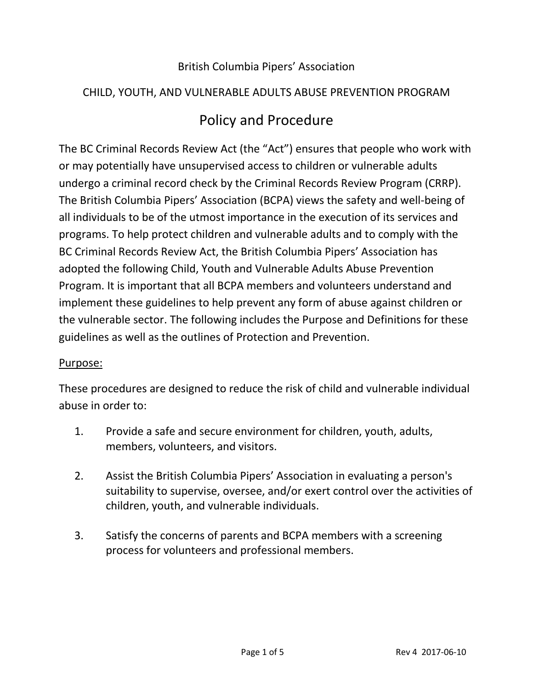## British Columbia Pipers' Association

#### CHILD, YOUTH, AND VULNERABLE ADULTS ABUSE PREVENTION PROGRAM

# Policy and Procedure

The BC Criminal Records Review Act (the "Act") ensures that people who work with or may potentially have unsupervised access to children or vulnerable adults undergo a criminal record check by the Criminal Records Review Program (CRRP). The British Columbia Pipers' Association (BCPA) views the safety and well-being of all individuals to be of the utmost importance in the execution of its services and programs. To help protect children and vulnerable adults and to comply with the BC Criminal Records Review Act, the British Columbia Pipers' Association has adopted the following Child, Youth and Vulnerable Adults Abuse Prevention Program. It is important that all BCPA members and volunteers understand and implement these guidelines to help prevent any form of abuse against children or the vulnerable sector. The following includes the Purpose and Definitions for these guidelines as well as the outlines of Protection and Prevention.

#### Purpose:

These procedures are designed to reduce the risk of child and vulnerable individual abuse in order to:

- 1. Provide a safe and secure environment for children, youth, adults, members, volunteers, and visitors.
- 2. Assist the British Columbia Pipers' Association in evaluating a person's suitability to supervise, oversee, and/or exert control over the activities of children, youth, and vulnerable individuals.
- 3. Satisfy the concerns of parents and BCPA members with a screening process for volunteers and professional members.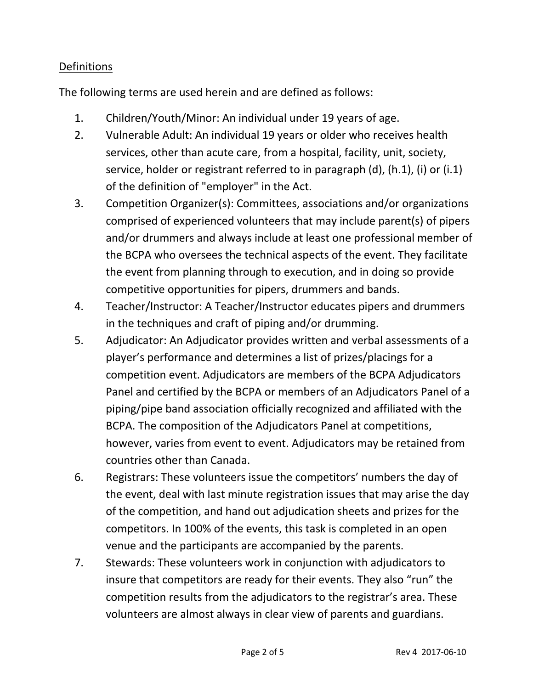# **Definitions**

The following terms are used herein and are defined as follows:

- 1. Children/Youth/Minor: An individual under 19 years of age.
- 2. Vulnerable Adult: An individual 19 years or older who receives health services, other than acute care, from a hospital, facility, unit, society, service, holder or registrant referred to in paragraph (d), (h.1), (i) or (i.1) of the definition of "employer" in the Act.
- 3. Competition Organizer(s): Committees, associations and/or organizations comprised of experienced volunteers that may include parent(s) of pipers and/or drummers and always include at least one professional member of the BCPA who oversees the technical aspects of the event. They facilitate the event from planning through to execution, and in doing so provide competitive opportunities for pipers, drummers and bands.
- 4. Teacher/Instructor: A Teacher/Instructor educates pipers and drummers in the techniques and craft of piping and/or drumming.
- 5. Adjudicator: An Adjudicator provides written and verbal assessments of a player's performance and determines a list of prizes/placings for a competition event. Adjudicators are members of the BCPA Adjudicators Panel and certified by the BCPA or members of an Adjudicators Panel of a piping/pipe band association officially recognized and affiliated with the BCPA. The composition of the Adjudicators Panel at competitions, however, varies from event to event. Adjudicators may be retained from countries other than Canada.
- 6. Registrars: These volunteers issue the competitors' numbers the day of the event, deal with last minute registration issues that may arise the day of the competition, and hand out adjudication sheets and prizes for the competitors. In 100% of the events, this task is completed in an open venue and the participants are accompanied by the parents.
- 7. Stewards: These volunteers work in conjunction with adjudicators to insure that competitors are ready for their events. They also "run" the competition results from the adjudicators to the registrar's area. These volunteers are almost always in clear view of parents and guardians.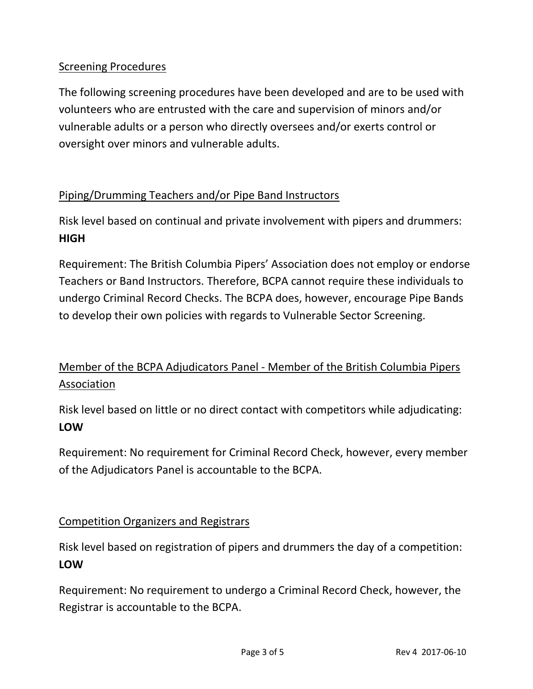# Screening Procedures

The following screening procedures have been developed and are to be used with volunteers who are entrusted with the care and supervision of minors and/or vulnerable adults or a person who directly oversees and/or exerts control or oversight over minors and vulnerable adults.

# Piping/Drumming Teachers and/or Pipe Band Instructors

Risk level based on continual and private involvement with pipers and drummers: **HIGH**

Requirement: The British Columbia Pipers' Association does not employ or endorse Teachers or Band Instructors. Therefore, BCPA cannot require these individuals to undergo Criminal Record Checks. The BCPA does, however, encourage Pipe Bands to develop their own policies with regards to Vulnerable Sector Screening.

# Member of the BCPA Adjudicators Panel - Member of the British Columbia Pipers Association

Risk level based on little or no direct contact with competitors while adjudicating: **LOW**

Requirement: No requirement for Criminal Record Check, however, every member of the Adjudicators Panel is accountable to the BCPA.

#### Competition Organizers and Registrars

Risk level based on registration of pipers and drummers the day of a competition: **LOW**

Requirement: No requirement to undergo a Criminal Record Check, however, the Registrar is accountable to the BCPA.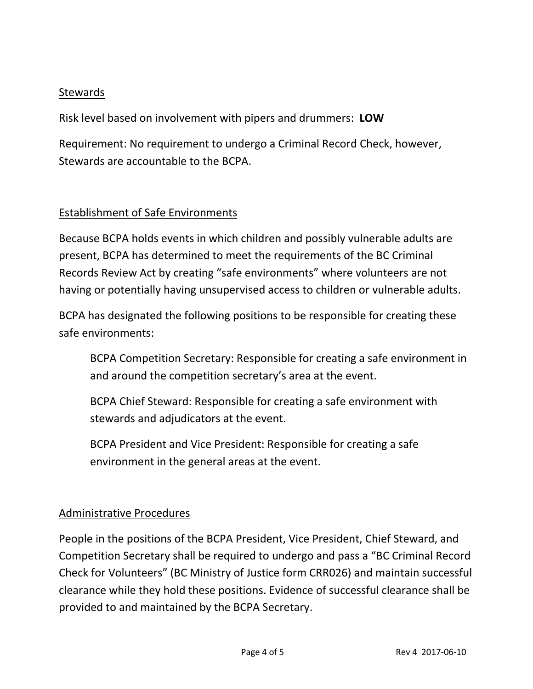## **Stewards**

Risk level based on involvement with pipers and drummers: **LOW**

Requirement: No requirement to undergo a Criminal Record Check, however, Stewards are accountable to the BCPA.

## Establishment of Safe Environments

Because BCPA holds events in which children and possibly vulnerable adults are present, BCPA has determined to meet the requirements of the BC Criminal Records Review Act by creating "safe environments" where volunteers are not having or potentially having unsupervised access to children or vulnerable adults.

BCPA has designated the following positions to be responsible for creating these safe environments:

BCPA Competition Secretary: Responsible for creating a safe environment in and around the competition secretary's area at the event.

BCPA Chief Steward: Responsible for creating a safe environment with stewards and adjudicators at the event.

BCPA President and Vice President: Responsible for creating a safe environment in the general areas at the event.

#### Administrative Procedures

People in the positions of the BCPA President, Vice President, Chief Steward, and Competition Secretary shall be required to undergo and pass a "BC Criminal Record Check for Volunteers" (BC Ministry of Justice form CRR026) and maintain successful clearance while they hold these positions. Evidence of successful clearance shall be provided to and maintained by the BCPA Secretary.